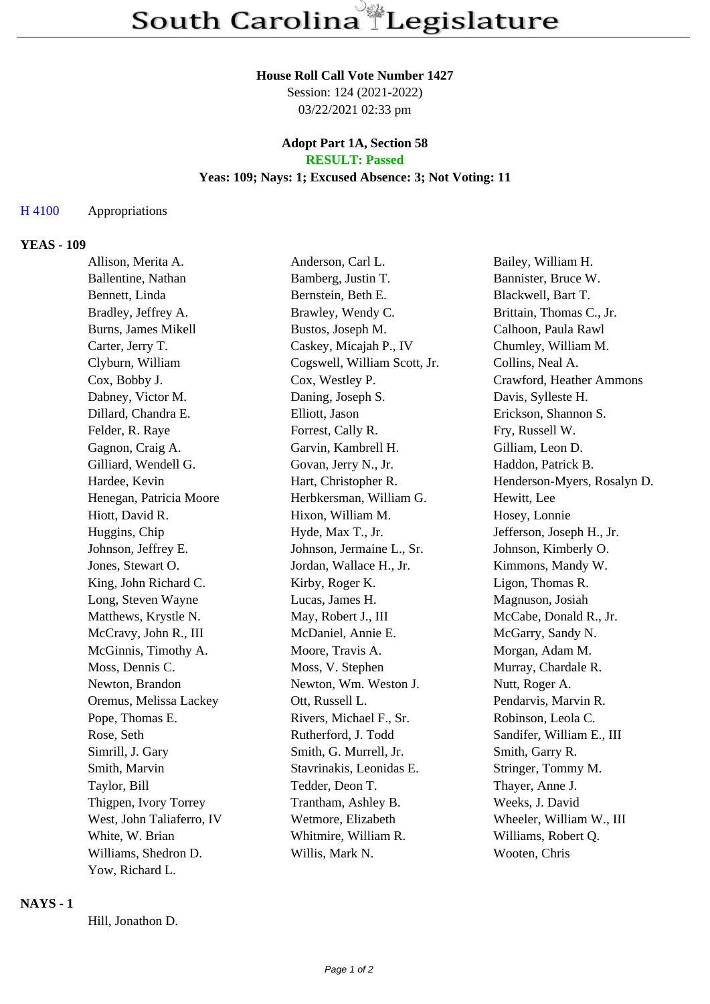#### **House Roll Call Vote Number 1427**

Session: 124 (2021-2022) 03/22/2021 02:33 pm

### **Adopt Part 1A, Section 58 RESULT: Passed**

# **Yeas: 109; Nays: 1; Excused Absence: 3; Not Voting: 11**

### H 4100 Appropriations

#### **YEAS - 109**

| Allison, Merita A.         | Anderson, Carl L.            | Bailey, William H.          |
|----------------------------|------------------------------|-----------------------------|
| Ballentine, Nathan         | Bamberg, Justin T.           | Bannister, Bruce W.         |
| Bennett, Linda             | Bernstein, Beth E.           | Blackwell, Bart T.          |
| Bradley, Jeffrey A.        | Brawley, Wendy C.            | Brittain, Thomas C., Jr.    |
| <b>Burns, James Mikell</b> | Bustos, Joseph M.            | Calhoon, Paula Rawl         |
| Carter, Jerry T.           | Caskey, Micajah P., IV       | Chumley, William M.         |
| Clyburn, William           | Cogswell, William Scott, Jr. | Collins, Neal A.            |
| Cox, Bobby J.              | Cox, Westley P.              | Crawford, Heather Ammons    |
| Dabney, Victor M.          | Daning, Joseph S.            | Davis, Sylleste H.          |
| Dillard, Chandra E.        | Elliott, Jason               | Erickson, Shannon S.        |
| Felder, R. Raye            | Forrest, Cally R.            | Fry, Russell W.             |
| Gagnon, Craig A.           | Garvin, Kambrell H.          | Gilliam, Leon D.            |
| Gilliard, Wendell G.       | Govan, Jerry N., Jr.         | Haddon, Patrick B.          |
| Hardee, Kevin              | Hart, Christopher R.         | Henderson-Myers, Rosalyn D. |
| Henegan, Patricia Moore    | Herbkersman, William G.      | Hewitt, Lee                 |
| Hiott, David R.            | Hixon, William M.            | Hosey, Lonnie               |
| Huggins, Chip              | Hyde, Max T., Jr.            | Jefferson, Joseph H., Jr.   |
| Johnson, Jeffrey E.        | Johnson, Jermaine L., Sr.    | Johnson, Kimberly O.        |
| Jones, Stewart O.          | Jordan, Wallace H., Jr.      | Kimmons, Mandy W.           |
| King, John Richard C.      | Kirby, Roger K.              | Ligon, Thomas R.            |
| Long, Steven Wayne         | Lucas, James H.              | Magnuson, Josiah            |
| Matthews, Krystle N.       | May, Robert J., III          | McCabe, Donald R., Jr.      |
| McCravy, John R., III      | McDaniel, Annie E.           | McGarry, Sandy N.           |
| McGinnis, Timothy A.       | Moore, Travis A.             | Morgan, Adam M.             |
| Moss, Dennis C.            | Moss, V. Stephen             | Murray, Chardale R.         |
| Newton, Brandon            | Newton, Wm. Weston J.        | Nutt, Roger A.              |
| Oremus, Melissa Lackey     | Ott, Russell L.              | Pendarvis, Marvin R.        |
| Pope, Thomas E.            | Rivers, Michael F., Sr.      | Robinson, Leola C.          |
| Rose, Seth                 | Rutherford, J. Todd          | Sandifer, William E., III   |
| Simrill, J. Gary           | Smith, G. Murrell, Jr.       | Smith, Garry R.             |
| Smith, Marvin              | Stavrinakis, Leonidas E.     | Stringer, Tommy M.          |
| Taylor, Bill               | Tedder, Deon T.              | Thayer, Anne J.             |
| Thigpen, Ivory Torrey      | Trantham, Ashley B.          | Weeks, J. David             |
| West, John Taliaferro, IV  | Wetmore, Elizabeth           | Wheeler, William W., III    |
| White, W. Brian            | Whitmire, William R.         | Williams, Robert Q.         |
| Williams, Shedron D.       | Willis, Mark N.              | Wooten, Chris               |
| Yow, Richard L.            |                              |                             |

#### **NAYS - 1**

Hill, Jonathon D.